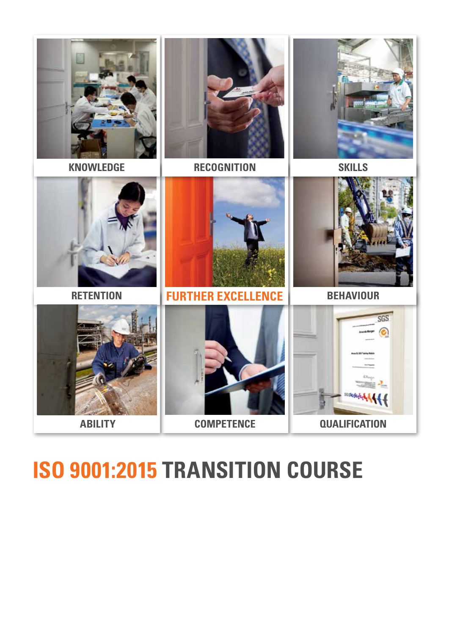

# **ISO 9001:2015 TRANSITION COURSE INTERNATIONALLY RECOGNISED**